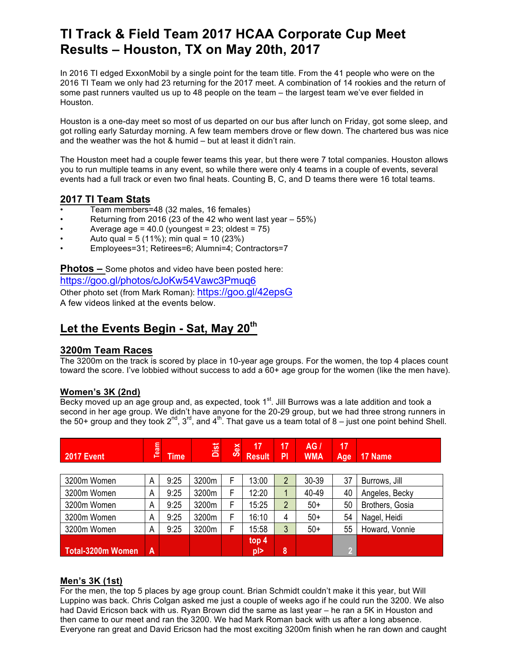# **TI Track & Field Team 2017 HCAA Corporate Cup Meet Results – Houston, TX on May 20th, 2017**

In 2016 TI edged ExxonMobil by a single point for the team title. From the 41 people who were on the 2016 TI Team we only had 23 returning for the 2017 meet. A combination of 14 rookies and the return of some past runners vaulted us up to 48 people on the team – the largest team we've ever fielded in Houston.

Houston is a one-day meet so most of us departed on our bus after lunch on Friday, got some sleep, and got rolling early Saturday morning. A few team members drove or flew down. The chartered bus was nice and the weather was the hot & humid – but at least it didn't rain.

The Houston meet had a couple fewer teams this year, but there were 7 total companies. Houston allows you to run multiple teams in any event, so while there were only 4 teams in a couple of events, several events had a full track or even two final heats. Counting B, C, and D teams there were 16 total teams.

## **2017 TI Team Stats**

- Team members=48 (32 males, 16 females)
- Returning from 2016 (23 of the 42 who went last year  $-55\%$ )
- Average age =  $40.0$  (youngest =  $23$ ; oldest =  $75$ )
- Auto qual =  $5(11\%)$ ; min qual =  $10(23\%)$
- Employees=31; Retirees=6; Alumni=4; Contractors=7

**Photos –** Some photos and video have been posted here:

https://goo.gl/photos/cJoKw54Vawc3Pmuq6 Other photo set (from Mark Roman): https://goo.gl/42epsG A few videos linked at the events below.

## **Let the Events Begin - Sat, May 20th**

## **3200m Team Races**

The 3200m on the track is scored by place in 10-year age groups. For the women, the top 4 places count toward the score. I've lobbied without success to add a 60+ age group for the women (like the men have).

## **Women's 3K (2nd)**

Becky moved up an age group and, as expected, took 1<sup>st</sup>. Jill Burrows was a late addition and took a second in her age group. We didn't have anyone for the 20-29 group, but we had three strong runners in the 50+ group and they took  $2^{nd}$ ,  $3^{rd}$ , and  $4^{th}$ . That gave us a team total of  $8$  – just one point behind Shell.

| <b>2017 Event</b> | Team | <b>Time</b> | Dist  | Sex | 17<br><b>Result</b> | 17<br>PI       | AG/<br><b>WMA</b> | 17<br>Age | 17 Name         |
|-------------------|------|-------------|-------|-----|---------------------|----------------|-------------------|-----------|-----------------|
|                   |      |             |       |     |                     |                |                   |           |                 |
| 3200m Women       | A    | 9:25        | 3200m |     | 13:00               | $\overline{2}$ | 30-39             | 37        | Burrows, Jill   |
| 3200m Women       | A    | 9:25        | 3200m | F   | 12:20               | 1              | 40-49             | 40        | Angeles, Becky  |
| 3200m Women       | A    | 9:25        | 3200m | F   | 15:25               | $\overline{2}$ | $50+$             | 50        | Brothers, Gosia |
| 3200m Women       | A    | 9:25        | 3200m | F   | 16:10               | 4              | $50+$             | 54        | Nagel, Heidi    |
| 3200m Women       | A    | 9:25        | 3200m | F   | 15:58               | 3              | $50+$             | 55        | Howard, Vonnie  |
| Total-3200m Women | A    |             |       |     | top 4<br>pl>        | 8              |                   | V)        |                 |

## **Men's 3K (1st)**

For the men, the top 5 places by age group count. Brian Schmidt couldn't make it this year, but Will Luppino was back. Chris Colgan asked me just a couple of weeks ago if he could run the 3200. We also had David Ericson back with us. Ryan Brown did the same as last year – he ran a 5K in Houston and then came to our meet and ran the 3200. We had Mark Roman back with us after a long absence. Everyone ran great and David Ericson had the most exciting 3200m finish when he ran down and caught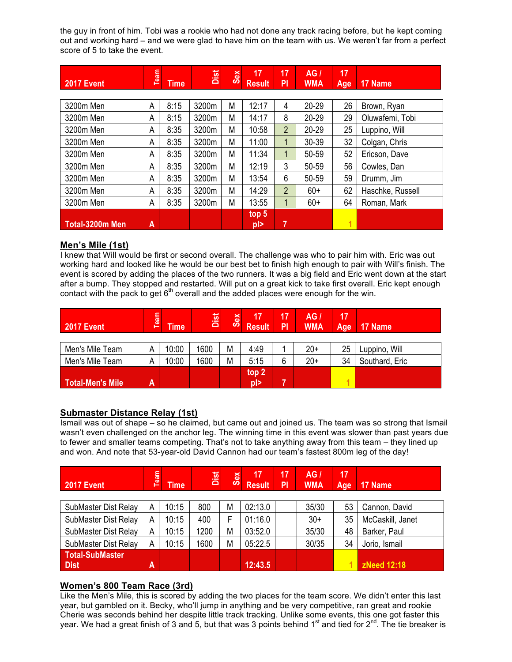the guy in front of him. Tobi was a rookie who had not done any track racing before, but he kept coming out and working hard – and we were glad to have him on the team with us. We weren't far from a perfect score of 5 to take the event.

| <b>2017 Event</b> | <b>Team</b> | <b>Time</b> | Dist  | <b>Sex</b> | 17<br><b>Result</b>         | 17<br>P <sub>1</sub> | AG/<br><b>WMA</b> | 17<br>Age | 17 Name          |
|-------------------|-------------|-------------|-------|------------|-----------------------------|----------------------|-------------------|-----------|------------------|
|                   |             |             |       |            |                             |                      |                   |           |                  |
| 3200m Men         | A           | 8:15        | 3200m | М          | 12:17                       | 4                    | $20 - 29$         | 26        | Brown, Ryan      |
| 3200m Men         | А           | 8:15        | 3200m | M          | 14:17                       | 8                    | $20 - 29$         | 29        | Oluwafemi, Tobi  |
| 3200m Men         | A           | 8:35        | 3200m | M          | 10:58                       | $\overline{2}$       | 20-29             | 25        | Luppino, Will    |
| 3200m Men         | А           | 8:35        | 3200m | M          | 11:00                       | 1                    | 30-39             | 32        | Colgan, Chris    |
| 3200m Men         | A           | 8:35        | 3200m | M          | 11:34                       | $\mathbf{1}$         | 50-59             | 52        | Ericson, Dave    |
| 3200m Men         | А           | 8:35        | 3200m | M          | 12:19                       | 3                    | 50-59             | 56        | Cowles, Dan      |
| 3200m Men         | A           | 8:35        | 3200m | М          | 13:54                       | 6                    | 50-59             | 59        | Drumm, Jim       |
| 3200m Men         | А           | 8:35        | 3200m | M          | 14:29                       | $\overline{2}$       | $60+$             | 62        | Haschke, Russell |
| 3200m Men         | A           | 8:35        | 3200m | M          | 13:55                       | 1                    | $60+$             | 64        | Roman, Mark      |
| Total-3200m Men   | A           |             |       |            | top <sub>5</sub><br>$p \ge$ | 7                    |                   | 1         |                  |

### **Men's Mile (1st)**

I knew that Will would be first or second overall. The challenge was who to pair him with. Eric was out working hard and looked like he would be our best bet to finish high enough to pair with Will's finish. The event is scored by adding the places of the two runners. It was a big field and Eric went down at the start after a bump. They stopped and restarted. Will put on a great kick to take first overall. Eric kept enough contact with the pack to get  $6<sup>th</sup>$  overall and the added places were enough for the win.

| <b>2017 Event</b>       | Team | <b>Time</b> | Dist | Sex | 17<br><b>Result</b> | 17<br>PI | AG/<br><b>WMA</b> | 17<br>Age | 17 Name        |
|-------------------------|------|-------------|------|-----|---------------------|----------|-------------------|-----------|----------------|
|                         |      |             |      |     |                     |          |                   |           |                |
| Men's Mile Team         | Α    | 10:00       | 1600 | M   | 4:49                |          | $20+$             | 25        | Luppino, Will  |
| Men's Mile Team         | Α    | 10:00       | 1600 | M   | 5:15                | 6        | $20+$             | 34        | Southard, Eric |
|                         |      |             |      |     | top 2               |          |                   |           |                |
| <b>Total-Men's Mile</b> | A    |             |      |     | $p$  >              |          |                   |           |                |

## **Submaster Distance Relay (1st)**

Ismail was out of shape – so he claimed, but came out and joined us. The team was so strong that Ismail wasn't even challenged on the anchor leg. The winning time in this event was slower than past years due to fewer and smaller teams competing. That's not to take anything away from this team – they lined up and won. And note that 53-year-old David Cannon had our team's fastest 800m leg of the day!

| <b>2017 Event</b>                     | Team | <b>Time</b> | Dist | Sex | 17<br><b>Result</b> | 17<br>PI | AG/<br><b>WMA</b> | 17<br>Age | 17 Name          |
|---------------------------------------|------|-------------|------|-----|---------------------|----------|-------------------|-----------|------------------|
| SubMaster Dist Relay                  | А    | 10:15       | 800  | M   | 02:13.0             |          | 35/30             | 53        | Cannon, David    |
| SubMaster Dist Relay                  | A    | 10:15       | 400  | F   | 01:16.0             |          | $30+$             | 35        | McCaskill, Janet |
| SubMaster Dist Relay                  | А    | 10:15       | 1200 | M   | 03:52.0             |          | 35/30             | 48        | Barker, Paul     |
| SubMaster Dist Relay                  | Α    | 10:15       | 1600 | M   | 05:22.5             |          | 30/35             | 34        | Jorio, Ismail    |
| <b>Total-SubMaster</b><br><b>Dist</b> | A    |             |      |     | 12:43.5             |          |                   |           | zNeed 12:18      |

## **Women's 800 Team Race (3rd)**

Like the Men's Mile, this is scored by adding the two places for the team score. We didn't enter this last year, but gambled on it. Becky, who'll jump in anything and be very competitive, ran great and rookie Cherie was seconds behind her despite little track tracking. Unlike some events, this one got faster this year. We had a great finish of 3 and 5, but that was 3 points behind 1<sup>st</sup> and tied for 2<sup>nd</sup>. The tie breaker is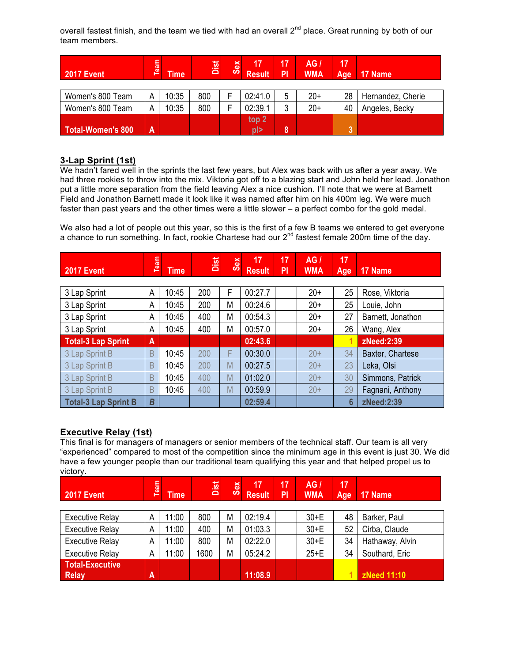overall fastest finish, and the team we tied with had an overall 2<sup>nd</sup> place. Great running by both of our team members.

| 2017 Event               | Team | <b>Time</b> | Dist | Sex | 17<br><b>Result</b> | 17<br>PI | AG/<br><b>WMA</b> | 17<br>Age | 17 Name           |
|--------------------------|------|-------------|------|-----|---------------------|----------|-------------------|-----------|-------------------|
|                          |      |             |      |     |                     |          |                   |           |                   |
| Women's 800 Team         | А    | 10:35       | 800  |     | 02:41.0             | 5        | $20+$             | 28        | Hernandez, Cherie |
| Women's 800 Team         | А    | 10:35       | 800  |     | 02:39.1             | 3        | $20+$             | 40        | Angeles, Becky    |
|                          |      |             |      |     | top <sub>2</sub>    |          |                   |           |                   |
| <b>Total-Women's 800</b> | A    |             |      |     | pl>                 | 8        |                   | 2         |                   |

### **3-Lap Sprint (1st)**

We hadn't fared well in the sprints the last few years, but Alex was back with us after a year away. We had three rookies to throw into the mix. Viktoria got off to a blazing start and John held her lead. Jonathon put a little more separation from the field leaving Alex a nice cushion. I'll note that we were at Barnett Field and Jonathon Barnett made it look like it was named after him on his 400m leg. We were much faster than past years and the other times were a little slower – a perfect combo for the gold medal.

We also had a lot of people out this year, so this is the first of a few B teams we entered to get everyone a chance to run something. In fact, rookie Chartese had our  $2^{nd}$  fastest female 200m time of the day.

| <b>2017 Event</b>           | Team           | <b>Time</b> | Dist | <b>Sex</b> | 17<br><b>Result</b> | 17<br>PI | AG/<br><b>WMA</b> | 17<br>Age | 17 Name           |
|-----------------------------|----------------|-------------|------|------------|---------------------|----------|-------------------|-----------|-------------------|
|                             |                |             |      |            |                     |          |                   |           |                   |
| 3 Lap Sprint                | A              | 10:45       | 200  | F          | 00:27.7             |          | $20+$             | 25        | Rose, Viktoria    |
| 3 Lap Sprint                | A              | 10:45       | 200  | M          | 00:24.6             |          | $20+$             | 25        | Louie, John       |
| 3 Lap Sprint                | A              | 10:45       | 400  | M          | 00:54.3             |          | $20+$             | 27        | Barnett, Jonathon |
| 3 Lap Sprint                | Α              | 10:45       | 400  | M          | 00:57.0             |          | $20+$             | 26        | Wang, Alex        |
| <b>Total-3 Lap Sprint</b>   | $\overline{A}$ |             |      |            | 02:43.6             |          |                   |           | zNeed:2:39        |
| 3 Lap Sprint B              | B              | 10:45       | 200  | F          | 00:30.0             |          | $20+$             | 34        | Baxter, Chartese  |
| 3 Lap Sprint B              | B              | 10:45       | 200  | M          | 00:27.5             |          | $20+$             | 23        | Leka, Olsi        |
| 3 Lap Sprint B              | B              | 10:45       | 400  | M          | 01:02.0             |          | $20+$             | 30        | Simmons, Patrick  |
| 3 Lap Sprint B              | B              | 10:45       | 400  | M          | 00:59.9             |          | $20+$             | 29        | Fagnani, Anthony  |
| <b>Total-3 Lap Sprint B</b> | B              |             |      |            | 02:59.4             |          |                   | 6         | zNeed:2:39        |

## **Executive Relay (1st)**

This final is for managers of managers or senior members of the technical staff. Our team is all very "experienced" compared to most of the competition since the minimum age in this event is just 30. We did have a few younger people than our traditional team qualifying this year and that helped propel us to victory.

| <b>2017 Event</b>                      | Team | <b>Time</b> | Dist | Sex | 17<br><b>Result</b> | 17<br>PI | AG/<br><b>WMA</b> | 17<br>Age | 17 Name         |
|----------------------------------------|------|-------------|------|-----|---------------------|----------|-------------------|-----------|-----------------|
| <b>Executive Relay</b>                 | A    | 11:00       | 800  | M   | 02:19.4             |          | $30+E$            | 48        | Barker, Paul    |
| <b>Executive Relay</b>                 | A    | 11:00       | 400  | М   | 01:03.3             |          | $30+E$            | 52        | Cirba, Claude   |
| <b>Executive Relay</b>                 | A    | 11:00       | 800  | M   | 02:22.0             |          | $30 + E$          | 34        | Hathaway, Alvin |
| <b>Executive Relay</b>                 | A    | 11:00       | 1600 | M   | 05:24.2             |          | $25+E$            | 34        | Southard, Eric  |
| <b>Total-Executive</b><br><b>Relay</b> | A    |             |      |     | 11:08.9             |          |                   |           | zNeed 11:10     |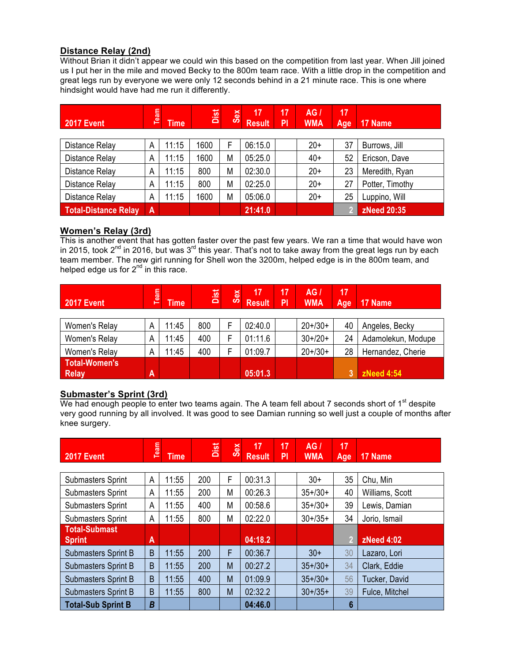## **Distance Relay (2nd)**

Without Brian it didn't appear we could win this based on the competition from last year. When Jill joined us I put her in the mile and moved Becky to the 800m team race. With a little drop in the competition and great legs run by everyone we were only 12 seconds behind in a 21 minute race. This is one where hindsight would have had me run it differently.

| <b>2017 Event</b>           | Team      | <b>Time</b> | Dist | <b>Sex</b> | 17<br><b>Result</b> | 17<br>PI | AG I<br><b>WMA</b> | 17<br>Age | 17 Name         |
|-----------------------------|-----------|-------------|------|------------|---------------------|----------|--------------------|-----------|-----------------|
|                             |           |             |      |            |                     |          |                    |           |                 |
| <b>Distance Relay</b>       | A         | 11:15       | 1600 |            | 06:15.0             |          | $20+$              | 37        | Burrows, Jill   |
| Distance Relay              | A         | 11:15       | 1600 | М          | 05:25.0             |          | $40+$              | 52        | Ericson, Dave   |
| <b>Distance Relay</b>       | A         | 11:15       | 800  | М          | 02:30.0             |          | $20+$              | 23        | Meredith, Ryan  |
| <b>Distance Relay</b>       | A         | 11:15       | 800  | М          | 02:25.0             |          | $20+$              | 27        | Potter, Timothy |
| Distance Relay              | A         | 11:15       | 1600 | М          | 05:06.0             |          | $20+$              | 25        | Luppino, Will   |
| <b>Total-Distance Relay</b> | $\Lambda$ |             |      |            | 21:41.0             |          |                    |           | zNeed 20:35     |

### **Women's Relay (3rd)**

This is another event that has gotten faster over the past few years. We ran a time that would have won in 2015, took 2<sup>nd</sup> in 2016, but was 3<sup>rd</sup> this year. That's not to take away from the great legs run by each team member. The new girl running for Shell won the 3200m, helped edge is in the 800m team, and helped edge us for 2<sup>nd</sup> in this race.

| <b>2017 Event</b>                    | Team | <b>Time</b> | Dist | <b>Sex</b> | 17<br><b>Result</b> | 17<br>Έl | AG/<br><b>WMA</b> | 17<br>Age | 17 Name            |
|--------------------------------------|------|-------------|------|------------|---------------------|----------|-------------------|-----------|--------------------|
| Women's Relay                        | A    | 11:45       | 800  |            | 02:40.0             |          | $20+130+$         | 40        | Angeles, Becky     |
| Women's Relay                        | A    | 11:45       | 400  |            | 01:11.6             |          | $30+20+$          | 24        | Adamolekun, Modupe |
| Women's Relay                        | A    | 11:45       | 400  |            | 01:09.7             |          | $20+30+$          | 28        | Hernandez, Cherie  |
| <b>Total-Women's</b><br><b>Relay</b> | A    |             |      |            | 05:01.3             |          |                   | 3         | zNeed 4:54         |

## **Submaster's Sprint (3rd)**

We had enough people to enter two teams again. The A team fell about  $7$  seconds short of  $1<sup>st</sup>$  despite very good running by all involved. It was good to see Damian running so well just a couple of months after knee surgery.

| <b>2017 Event</b>          | Team | <b>Time</b> | Dist | Sex | 17<br><b>Result</b> | 17<br>PI | AG/<br><b>WMA</b> | 17<br>Age | 17 Name           |
|----------------------------|------|-------------|------|-----|---------------------|----------|-------------------|-----------|-------------------|
|                            |      |             |      |     |                     |          |                   |           |                   |
| <b>Submasters Sprint</b>   | A    | 11:55       | 200  | F   | 00:31.3             |          | $30+$             | 35        | Chu, Min          |
| <b>Submasters Sprint</b>   | A    | 11:55       | 200  | M   | 00:26.3             |          | $35+ / 30+$       | 40        | Williams, Scott   |
| <b>Submasters Sprint</b>   | A    | 11:55       | 400  | M   | 00:58.6             |          | $35+ / 30+$       | 39        | Lewis, Damian     |
| <b>Submasters Sprint</b>   | A    | 11:55       | 800  | M   | 02:22.0             |          | $30+ / 35+$       | 34        | Jorio, Ismail     |
| <b>Total-Submast</b>       |      |             |      |     |                     |          |                   |           |                   |
| <b>Sprint</b>              | A    |             |      |     | 04:18.2             |          |                   | 2         | <b>zNeed 4:02</b> |
| <b>Submasters Sprint B</b> | B    | 11:55       | 200  | F   | 00:36.7             |          | $30+$             | 30        | Lazaro, Lori      |
| <b>Submasters Sprint B</b> | B    | 11:55       | 200  | M   | 00:27.2             |          | $35+/30+$         | 34        | Clark, Eddie      |
| <b>Submasters Sprint B</b> | B    | 11:55       | 400  | M   | 01:09.9             |          | $35+/30+$         | 56        | Tucker, David     |
| Submasters Sprint B        | B    | 11:55       | 800  | M   | 02:32.2             |          | $30+ / 35+$       | 39        | Fulce, Mitchel    |
| <b>Total-Sub Sprint B</b>  | B    |             |      |     | 04:46.0             |          |                   | 6         |                   |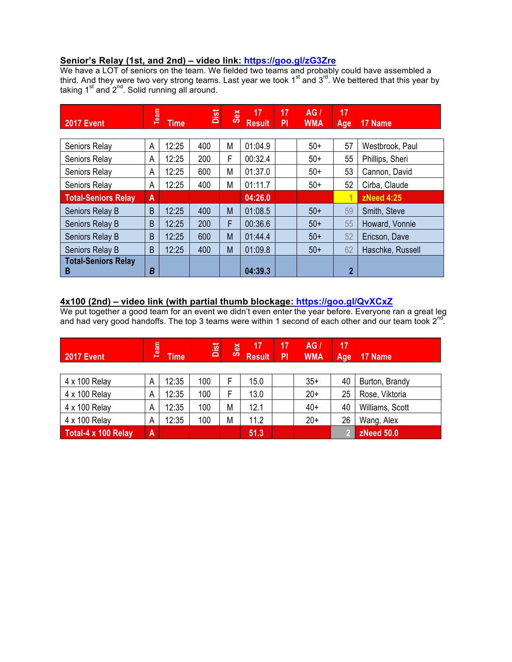### **Senior's Relay (1st, and 2nd) – video link: https://goo.gl/zG3Zre**

We have a LOT of seniors on the team. We fielded two teams and probably could have assembled a third. And they were two very strong teams. Last year we took 1<sup>st</sup> and 3<sup>rd</sup>. We bettered that this year by taking 1<sup>st</sup> and 2<sup>nd</sup>. Solid running all around.

| <b>2017 Event</b>          | Team | <b>Time</b> | Dist | Sex | 17<br><b>Result</b> | 17<br>PI | AG/<br><b>WMA</b> | 17<br>Age      | 17 Name          |
|----------------------------|------|-------------|------|-----|---------------------|----------|-------------------|----------------|------------------|
|                            |      |             |      |     |                     |          |                   |                |                  |
| Seniors Relay              | A    | 12:25       | 400  | M   | 01:04.9             |          | $50+$             | 57             | Westbrook, Paul  |
| Seniors Relay              | A    | 12:25       | 200  | F   | 00:32.4             |          | $50+$             | 55             | Phillips, Sheri  |
| Seniors Relay              | A    | 12:25       | 600  | М   | 01:37.0             |          | $50+$             | 53             | Cannon, David    |
| Seniors Relay              | Α    | 12:25       | 400  | M   | 01:11.7             |          | $50+$             | 52             | Cirba, Claude    |
| <b>Total-Seniors Relay</b> | A    |             |      |     | 04:26.0             |          |                   | 1              | zNeed 4:25       |
| Seniors Relay B            | B    | 12:25       | 400  | M   | 01:08.5             |          | $50+$             | 59             | Smith, Steve     |
| Seniors Relay B            | B    | 12:25       | 200  | F   | 00:36.6             |          | $50+$             | 55             | Howard, Vonnie   |
| Seniors Relay B            | B    | 12:25       | 600  | M   | 01:44.4             |          | $50+$             | 52             | Ericson, Dave    |
| Seniors Relay B            | B    | 12:25       | 400  | M   | 01:09.8             |          | $50+$             | 62             | Haschke, Russell |
| <b>Total-Seniors Relay</b> |      |             |      |     |                     |          |                   |                |                  |
| B                          | Β    |             |      |     | 04:39.3             |          |                   | $\overline{2}$ |                  |

## **4x100 (2nd) – video link (with partial thumb blockage: https://goo.gl/QvXCxZ**

We put together a good team for an event we didn't even enter the year before. Everyone ran a great leg and had very good handoffs. The top 3 teams were within 1 second of each other and our team took 2<sup>nd</sup>.

| <b>2017 Event</b>   | Team | <b>Time</b> | Dist | Sex | 17<br><b>Result</b> | 17<br>PI | AG/<br><b>WMA</b> | 17<br>Age | 17 Name           |
|---------------------|------|-------------|------|-----|---------------------|----------|-------------------|-----------|-------------------|
| 4 x 100 Relay       | A    | 12:35       | 100  |     | 15.0                |          | $35+$             | 40        | Burton, Brandy    |
| 4 x 100 Relay       | Α    | 12:35       | 100  | F   | 13.0                |          | $20+$             | 25        | Rose, Viktoria    |
| 4 x 100 Relay       | A    | 12:35       | 100  | M   | 12.1                |          | $40+$             | 40        | Williams, Scott   |
| 4 x 100 Relay       | A    | 12:35       | 100  | M   | 11.2                |          | $20+$             | 26        | Wang, Alex        |
| Total-4 x 100 Relay | A    |             |      |     | 51.3                |          |                   | 2         | <b>zNeed 50.0</b> |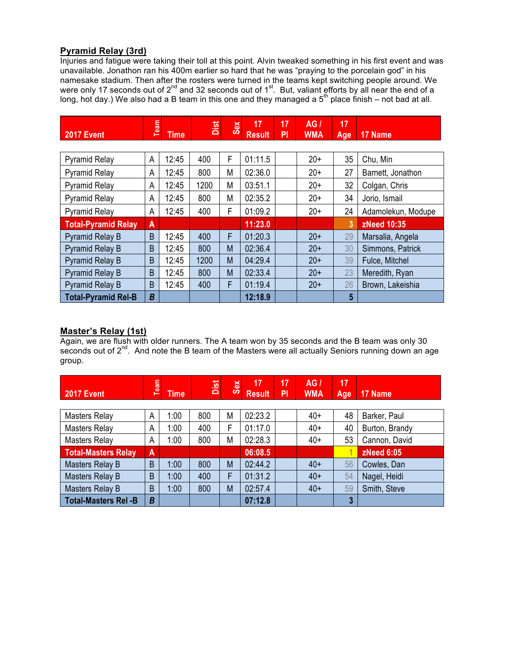## **Pyramid Relay (3rd)**

Injuries and fatigue were taking their toll at this point. Alvin tweaked something in his first event and was unavailable. Jonathon ran his 400m earlier so hard that he was "praying to the porcelain god" in his namesake stadium. Then after the rosters were turned in the teams kept switching people around. We were only 17 seconds out of 2<sup>nd</sup> and 32 seconds out of 1<sup>st</sup>. But, valiant efforts by all near the end of a long, hot day.) We also had a B team in this one and they managed a 5<sup>th</sup> place finish – not bad at all.

| <b>2017 Event</b>          | Team | <b>Time</b> | Dist | Sex | 17<br><b>Result</b> | 17<br>P <sub>1</sub> | AG/<br><b>WMA</b> | 17<br>Age | 17 Name            |
|----------------------------|------|-------------|------|-----|---------------------|----------------------|-------------------|-----------|--------------------|
|                            |      |             |      |     |                     |                      |                   |           |                    |
| <b>Pyramid Relay</b>       | A    | 12:45       | 400  | F   | 01:11.5             |                      | $20+$             | 35        | Chu, Min           |
| <b>Pyramid Relay</b>       | A    | 12:45       | 800  | M   | 02:36.0             |                      | $20+$             | 27        | Barnett, Jonathon  |
| <b>Pyramid Relay</b>       | A    | 12:45       | 1200 | M   | 03:51.1             |                      | $20+$             | 32        | Colgan, Chris      |
| <b>Pyramid Relay</b>       | A    | 12:45       | 800  | M   | 02:35.2             |                      | $20+$             | 34        | Jorio, Ismail      |
| <b>Pyramid Relay</b>       | A    | 12:45       | 400  | F   | 01:09.2             |                      | $20+$             | 24        | Adamolekun, Modupe |
| <b>Total-Pyramid Relay</b> | A    |             |      |     | 11:23.0             |                      |                   | 3         | <b>zNeed 10:35</b> |
| <b>Pyramid Relay B</b>     | B    | 12:45       | 400  | F   | 01:20.3             |                      | $20+$             | 29        | Marsalia, Angela   |
| <b>Pyramid Relay B</b>     | B    | 12:45       | 800  | M   | 02:36.4             |                      | $20+$             | 30        | Simmons, Patrick   |
| <b>Pyramid Relay B</b>     | B    | 12:45       | 1200 | M   | 04:29.4             |                      | $20+$             | 39        | Fulce, Mitchel     |
| <b>Pyramid Relay B</b>     | B    | 12:45       | 800  | M   | 02:33.4             |                      | $20+$             | 23        | Meredith, Ryan     |
| <b>Pyramid Relay B</b>     | B    | 12:45       | 400  | F   | 01:19.4             |                      | $20+$             | 26        | Brown, Lakeishia   |
| <b>Total-Pyramid Rel-B</b> | B    |             |      |     | 12:18.9             |                      |                   | 5         |                    |

## **Master's Relay (1st)**

Again, we are flush with older runners. The A team won by 35 seconds and the B team was only 30 seconds out of 2<sup>nd</sup>. And note the B team of the Masters were all actually Seniors running down an age group.

| <b>2017 Event</b> | ear<br>╾ | <b>ime</b> | Dist | $\omega$<br>$\epsilon$ | Result | <b>PI</b> | AG,<br><b>WMA</b> | 47<br>Age | $\vert$ 17 Name |  |
|-------------------|----------|------------|------|------------------------|--------|-----------|-------------------|-----------|-----------------|--|
|                   |          |            |      |                        |        |           |                   |           |                 |  |

| Masters Relay               | A | 1:00 | 800 | M | 02:23.2 | $40+$ | 48 | Barker, Paul      |
|-----------------------------|---|------|-----|---|---------|-------|----|-------------------|
| Masters Relay               | A | 1:00 | 400 | E | 01:17.0 | $40+$ | 40 | Burton, Brandy    |
| Masters Relay               | A | 1:00 | 800 | M | 02:28.3 | $40+$ | 53 | Cannon, David     |
| <b>Total-Masters Relay</b>  | A |      |     |   | 06:08.5 |       |    | <b>zNeed 6:05</b> |
| Masters Relay B             | B | 1:00 | 800 | M | 02:44.2 | $40+$ | 56 | Cowles, Dan       |
| Masters Relay B             | B | 1:00 | 400 |   | 01:31.2 | $40+$ | 54 | Nagel, Heidi      |
| Masters Relay B             | B | 1:00 | 800 | M | 02:57.4 | $40+$ | 59 | Smith, Steve      |
| <b>Total-Masters Rel -B</b> | B |      |     |   | 07:12.8 |       | 3  |                   |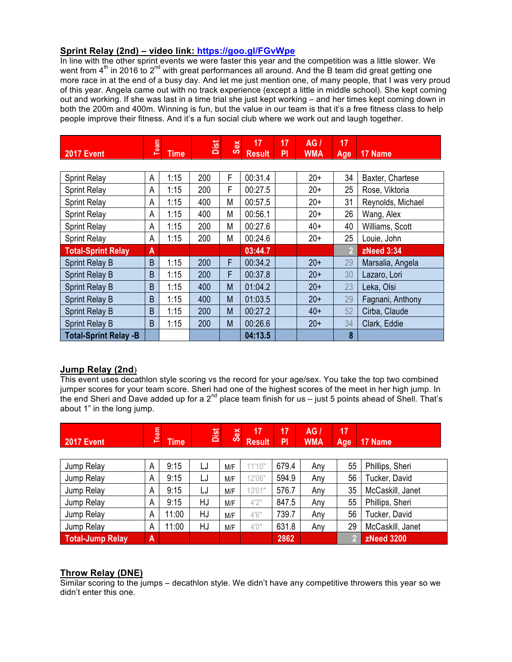## **Sprint Relay (2nd) – video link: https://goo.gl/FGvWpe**

In line with the other sprint events we were faster this year and the competition was a little slower. We went from 4<sup>th</sup> in 2016 to 2<sup>nd</sup> with great performances all around. And the B team did great getting one more race in at the end of a busy day. And let me just mention one, of many people, that I was very proud of this year. Angela came out with no track experience (except a little in middle school). She kept coming out and working. If she was last in a time trial she just kept working – and her times kept coming down in both the 200m and 400m. Winning is fun, but the value in our team is that it's a free fitness class to help people improve their fitness. And it's a fun social club where we work out and laugh together.

| <b>2017 Event</b>            | Team | <b>Time</b> | Dist<br>Sex |   | 17<br><b>Result</b> | 17<br>PI | AG/<br><b>WMA</b> | 17<br>Age | 17 Name           |
|------------------------------|------|-------------|-------------|---|---------------------|----------|-------------------|-----------|-------------------|
|                              |      |             |             |   |                     |          |                   |           |                   |
| <b>Sprint Relay</b>          | A    | 1:15        | 200         | F | 00:31.4             |          | $20+$             | 34        | Baxter, Chartese  |
| <b>Sprint Relay</b>          | A    | 1:15        | 200         | F | 00:27.5             |          | $20+$             | 25        | Rose, Viktoria    |
| <b>Sprint Relay</b>          | A    | 1:15        | 400         | M | 00:57.5             |          | $20+$             | 31        | Reynolds, Michael |
| <b>Sprint Relay</b>          | A    | 1:15        | 400         | M | 00:56.1             |          | $20+$             | 26        | Wang, Alex        |
| <b>Sprint Relay</b>          | A    | 1:15        | 200         | M | 00:27.6             |          | $40+$             | 40        | Williams, Scott   |
| <b>Sprint Relay</b>          | A    | 1:15        | 200         | M | 00:24.6             |          | $20+$             | 25        | Louie, John       |
| <b>Total-Sprint Relay</b>    | A    |             |             |   | 03:44.7             |          |                   | 2         | <b>zNeed 3:34</b> |
| <b>Sprint Relay B</b>        | B    | 1:15        | 200         | F | 00:34.2             |          | $20+$             | 29        | Marsalia, Angela  |
| <b>Sprint Relay B</b>        | B    | 1:15        | 200         | F | 00:37.8             |          | $20+$             | 30        | Lazaro, Lori      |
| <b>Sprint Relay B</b>        | B    | 1:15        | 400         | M | 01:04.2             |          | $20+$             | 23        | Leka, Olsi        |
| <b>Sprint Relay B</b>        | B    | 1:15        | 400         | M | 01:03.5             |          | $20+$             | 29        | Fagnani, Anthony  |
| Sprint Relay B               | B    | 1:15        | 200         | M | 00:27.2             |          | $40+$             | 52        | Cirba, Claude     |
| Sprint Relay B               | B    | 1:15        | 200         | M | 00:26.6             |          | $20+$             | 34        | Clark, Eddie      |
| <b>Total-Sprint Relay -B</b> |      |             |             |   | 04:13.5             |          |                   | 8         |                   |

## **Jump Relay (2nd**)

This event uses decathlon style scoring vs the record for your age/sex. You take the top two combined jumper scores for your team score. Sheri had one of the highest scores of the meet in her high jump. In the end Sheri and Dave added up for a  $2^{nd}$  place team finish for us – just 5 points ahead of Shell. That's about 1" in the long jump.

|  | <b>2017 Event</b> | --<br>lme. | وستعيد<br>lis | $\omega$<br>$\overline{\phantom{a}}$ | Result PI | $\overline{\phantom{a}}$ | $\overline{\phantom{a}}$<br>(G)<br><b>WMA</b> | $\overline{1}$ | Age   17 Name |  |
|--|-------------------|------------|---------------|--------------------------------------|-----------|--------------------------|-----------------------------------------------|----------------|---------------|--|
|--|-------------------|------------|---------------|--------------------------------------|-----------|--------------------------|-----------------------------------------------|----------------|---------------|--|

| Jump Relay              | A | 9:15  | LJ | M/F | 11'10" | 679.4 | Any | 55 | Phillips, Sheri   |
|-------------------------|---|-------|----|-----|--------|-------|-----|----|-------------------|
| Jump Relay              | A | 9:15  | LJ | M/F | 12'06" | 594.9 | Any | 56 | Tucker, David     |
| Jump Relay              | A | 9:15  | LJ | M/F | 13'01" | 576.7 | Any | 35 | McCaskill, Janet  |
| Jump Relay              | A | 9:15  | HJ | M/F | 4'2''  | 847.5 | Any | 55 | Phillips, Sheri   |
| Jump Relay              | A | 11:00 | HJ | M/F | 4'6''  | 739.7 | Any | 56 | Tucker, David     |
| Jump Relay              | A | 11:00 | HJ | M/F | 4'0"   | 631.8 | Any | 29 | McCaskill, Janet  |
| <b>Total-Jump Relay</b> | A |       |    |     |        | 2862  |     |    | <b>zNeed 3200</b> |

## **Throw Relay (DNE)**

Similar scoring to the jumps – decathlon style. We didn't have any competitive throwers this year so we didn't enter this one.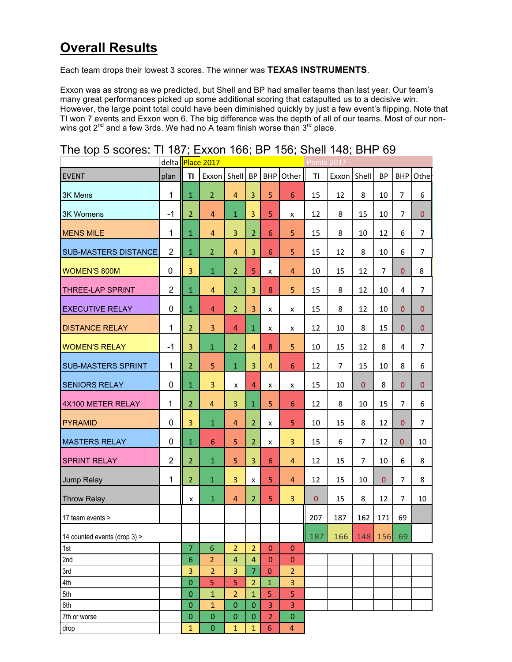# **Overall Results**

Each team drops their lowest 3 scores. The winner was **TEXAS INSTRUMENTS**.

Exxon was as strong as we predicted, but Shell and BP had smaller teams than last year. Our team's many great performances picked up some additional scoring that catapulted us to a decisive win. However, the large point total could have been diminished quickly by just a few event's flipping. Note that TI won 7 events and Exxon won 6. The big difference was the depth of all of our teams. Most of our nonwins got  $2^{nd}$  and a few 3rds. We had no A team finish worse than  $3^{rd}$  place.

|                              |                |                | delta Place 2017 |                         |                |                |                         | Points 2017  |                |                |                |                |                |
|------------------------------|----------------|----------------|------------------|-------------------------|----------------|----------------|-------------------------|--------------|----------------|----------------|----------------|----------------|----------------|
| <b>EVENT</b>                 | plan           | T1             | Exxon Shell      |                         | <b>BP</b>      | <b>BHP</b>     | Other                   | TI           | Exxon          | Shell          | <b>BP</b>      | <b>BHP</b>     | Othel          |
| 3K Mens                      | $\mathbf{1}$   | $\mathbf{1}$   | 2 <sup>1</sup>   | $\overline{4}$          | $\overline{3}$ | 5              | 6                       | 15           | 12             | 8              | 10             | $\overline{7}$ | 6              |
| <b>3K Womens</b>             | $-1$           | 2              | $\overline{4}$   | $\mathbf{1}$            | 3              | 5              | x                       | 12           | 8              | 15             | 10             | $\overline{7}$ | $\overline{0}$ |
| <b>MENS MILE</b>             | 1              | $\mathbf 1$    | $\overline{4}$   | 3                       | $\overline{2}$ | 6              | 5                       | 15           | 8              | 10             | 12             | 6              | $\overline{7}$ |
| <b>SUB-MASTERS DISTANCE</b>  | $\overline{2}$ | $\mathbf{1}$   | $\overline{2}$   | 4                       | 3              | 6              | 5                       | 15           | 12             | 8              | 10             | 6              | 7              |
| <b>WOMEN'S 800M</b>          | 0              | 3              | $\mathbf{1}$     | $\overline{2}$          | 5              | x              | 4                       | 10           | 15             | 12             | $\overline{7}$ | $\mathbf{0}$   | 8              |
| <b>THREE-LAP SPRINT</b>      | $\overline{2}$ | $\mathbf{1}$   | $\overline{4}$   | $\overline{2}$          | 3              | 8              | 5                       | 15           | 8              | 12             | 10             | 4              | $\overline{7}$ |
| <b>EXECUTIVE RELAY</b>       | $\mathbf 0$    | $\mathbf{1}$   | $\overline{4}$   | $\overline{2}$          | $\overline{3}$ | x              | x                       | 15           | 8              | 12             | 10             | $\mathbf{0}$   | $\mathbf{0}$   |
| <b>DISTANCE RELAY</b>        | 1              | $\overline{2}$ | $\overline{3}$   | 4                       | $\mathbf{1}$   | x              | x                       | 12           | 10             | 8              | 15             | $\mathbf{0}$   | $\mathbf{0}$   |
| <b>WOMEN'S RELAY</b>         | $-1$           | 3              | $\mathbf{1}$     | $\overline{2}$          | $\overline{4}$ | 8              | 5                       | 10           | 15             | 12             | 8              | 4              | $\overline{7}$ |
| <b>SUB-MASTERS SPRINT</b>    | $\mathbf{1}$   | $\overline{2}$ | 5                | $\mathbf 1$             | $\overline{3}$ | $\overline{4}$ | 6                       | 12           | $\overline{7}$ | 15             | 10             | 8              | 6              |
| <b>SENIORS RELAY</b>         | $\mathbf 0$    | $\mathbf{1}$   | $\overline{3}$   | x                       | $\overline{4}$ | x              | x                       | 15           | 10             | $\mathbf{0}$   | 8              | $\mathbf{0}$   | $\mathbf{0}$   |
| 4X100 METER RELAY            | 1              | 2              | $\overline{4}$   | 3                       | $\mathbf 1$    | 5              | 6                       | 12           | 8              | 10             | 15             | $\overline{7}$ | 6              |
| <b>PYRAMID</b>               | 0              | 3              | $\mathbf{1}$     | 4                       | $\overline{2}$ | x              | 5                       | 10           | 15             | 8              | 12             | $\mathbf{0}$   | $\overline{7}$ |
| <b>MASTERS RELAY</b>         | 0              | $\mathbf 1$    | 6                | 5                       | $\overline{2}$ | x              | 3                       | 15           | 6              | $\overline{7}$ | 12             | 0              | 10             |
| <b>SPRINT RELAY</b>          | $\overline{2}$ | 2              | $\mathbf{1}$     | 5                       | $\overline{3}$ | 6              | 4                       | 12           | 15             | $\overline{7}$ | 10             | 6              | 8              |
| Jump Relay                   | $\mathbf{1}$   | $\overline{2}$ | $\mathbf{1}$     | 3                       | $\pmb{\times}$ | 5              | $\overline{4}$          | 12           | 15             | 10             | $\mathbf{0}$   | $\overline{7}$ | 8              |
| <b>Throw Relay</b>           |                | x              | $\mathbf{1}$     | 4                       | $\overline{2}$ | 5              | 3                       | $\mathbf{0}$ | 15             | 8              | 12             | $\overline{7}$ | 10             |
| 17 team events >             |                |                |                  |                         |                |                |                         | 207          | 187            | 162            | 171            | 69             |                |
| 14 counted events (drop 3) > |                |                |                  |                         |                |                |                         | 187          | 166            | 148 156        |                | 69             |                |
| 1st                          |                | 7              | 6                | $\overline{2}$          | $\overline{2}$ | $\mathbf{0}$   | $\pmb{0}$               |              |                |                |                |                |                |
| 2nd                          |                | 6              | $\overline{2}$   | $\overline{\mathbf{4}}$ | 4              | $\mathbf{0}$   | $\pmb{0}$               |              |                |                |                |                |                |
| 3rd                          |                | 3              | $\overline{2}$   | 3                       | $\overline{7}$ | $\mathbf{0}$   | $\overline{2}$          |              |                |                |                |                |                |
| 4th                          |                | 0              | 5                | 5                       | $\overline{2}$ | $\mathbf{1}$   | 3                       |              |                |                |                |                |                |
| 5th                          |                | $\mathbf 0$    | $\mathbf{1}$     | $\overline{2}$          | $\mathbf{1}$   | 5              | 5                       |              |                |                |                |                |                |
| 6th                          |                | $\mathbf 0$    | $\mathbf{1}$     | $\overline{0}$          | $\overline{0}$ | 3              | 3                       |              |                |                |                |                |                |
| 7th or worse                 |                | $\mathbf 0$    | $\mathbf 0$      | $\mathbf 0$             | $\mathbf 0$    | $\overline{2}$ | $\pmb{0}$               |              |                |                |                |                |                |
| drop                         |                | $\mathbf{1}$   | $\mathbf 0$      | 1                       | $\mathbf{1}$   | 6              | $\overline{\mathbf{4}}$ |              |                |                |                |                |                |

## The top 5 scores: TI 187; Exxon 166; BP 156; Shell 148; BHP 69